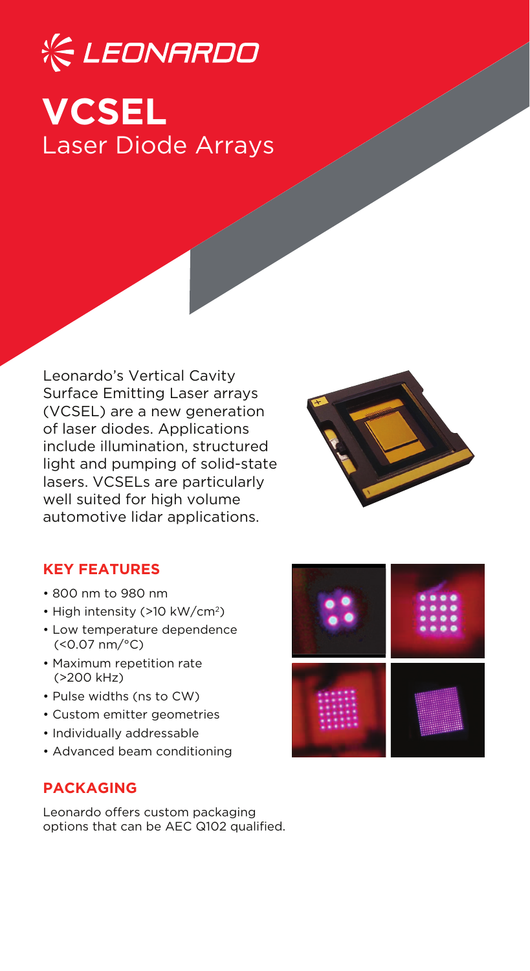# **& LEONARDO VCSEL** Laser Diode Arrays

Leonardo's Vertical Cavity Surface Emitting Laser arrays (VCSEL) are a new generation of laser diodes. Applications include illumination, structured light and pumping of solid-state lasers. VCSELs are particularly well suited for high volume automotive lidar applications.



## **KEY FEATURES**

- 800 nm to 980 nm
- High intensity (>10 kW/cm<sup>2</sup>)
- Low temperature dependence (<0.07 nm/°C)
- Maximum repetition rate (>200 kHz)
- Pulse widths (ns to CW)
- Custom emitter geometries
- Individually addressable
- Advanced beam conditioning

## **PACKAGING**

Leonardo offers custom packaging options that can be AEC Q102 qualified.